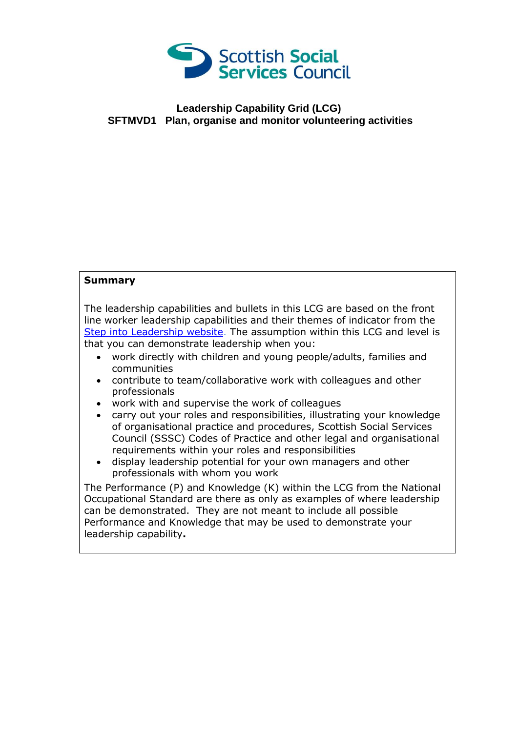

## **Leadership Capability Grid (LCG) SFTMVD1 Plan, organise and monitor volunteering activities**

## **Summary**

The leadership capabilities and bullets in this LCG are based on the front line worker leadership capabilities and their themes of indicator from the [Step into Leadership website.](http://www.stepintoleadership.info/) The assumption within this LCG and level is that you can demonstrate leadership when you:

- work directly with children and young people/adults, families and communities
- contribute to team/collaborative work with colleagues and other professionals
- work with and supervise the work of colleagues
- carry out your roles and responsibilities, illustrating your knowledge of organisational practice and procedures, Scottish Social Services Council (SSSC) Codes of Practice and other legal and organisational requirements within your roles and responsibilities
- display leadership potential for your own managers and other professionals with whom you work

The Performance (P) and Knowledge (K) within the LCG from the National Occupational Standard are there as only as examples of where leadership can be demonstrated. They are not meant to include all possible Performance and Knowledge that may be used to demonstrate your leadership capability**.**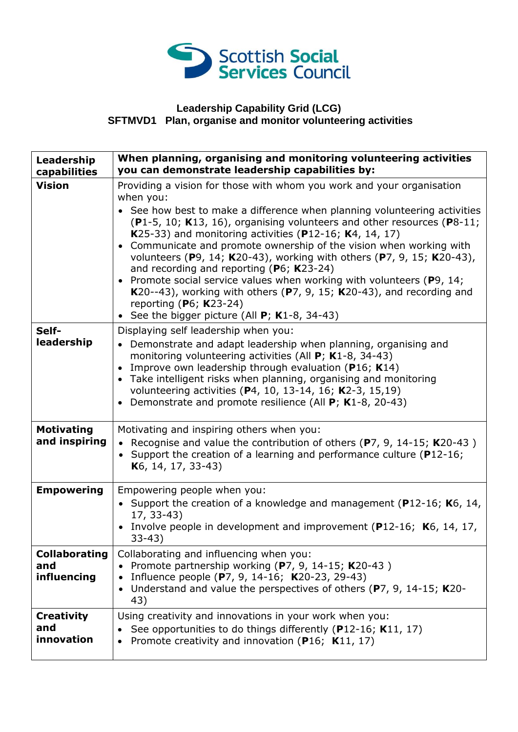

## **Leadership Capability Grid (LCG) SFTMVD1 Plan, organise and monitor volunteering activities**

| Leadership<br>capabilities                 | When planning, organising and monitoring volunteering activities<br>you can demonstrate leadership capabilities by:                                                                                                                                                                                                                                                                                                                                                                                                                                                                                                                                                                                                                 |
|--------------------------------------------|-------------------------------------------------------------------------------------------------------------------------------------------------------------------------------------------------------------------------------------------------------------------------------------------------------------------------------------------------------------------------------------------------------------------------------------------------------------------------------------------------------------------------------------------------------------------------------------------------------------------------------------------------------------------------------------------------------------------------------------|
| <b>Vision</b>                              | Providing a vision for those with whom you work and your organisation<br>when you:<br>See how best to make a difference when planning volunteering activities<br>(P1-5, 10; K13, 16), organising volunteers and other resources (P8-11;<br>K25-33) and monitoring activities (P12-16; K4, 14, 17)<br>Communicate and promote ownership of the vision when working with<br>volunteers (P9, 14; K20-43), working with others (P7, 9, 15; K20-43),<br>and recording and reporting ( $P_6$ ; K23-24)<br>• Promote social service values when working with volunteers (P9, 14;<br>K20--43), working with others (P7, 9, 15; K20-43), and recording and<br>reporting ( $P6$ ; K23-24)<br>• See the bigger picture (All $P$ ; K1-8, 34-43) |
| Self-<br>leadership                        | Displaying self leadership when you:<br>• Demonstrate and adapt leadership when planning, organising and<br>monitoring volunteering activities (All P; K1-8, 34-43)<br>Improve own leadership through evaluation (P16; K14)<br>$\bullet$<br>Take intelligent risks when planning, organising and monitoring<br>volunteering activities (P4, 10, 13-14, 16; K2-3, 15,19)<br>Demonstrate and promote resilience (All P; K1-8, 20-43)                                                                                                                                                                                                                                                                                                  |
| <b>Motivating</b><br>and inspiring         | Motivating and inspiring others when you:<br>• Recognise and value the contribution of others (P7, 9, 14-15; K20-43)<br>• Support the creation of a learning and performance culture (P12-16;<br>K <sub>6</sub> , 14, 17, 33-43)                                                                                                                                                                                                                                                                                                                                                                                                                                                                                                    |
| <b>Empowering</b>                          | Empowering people when you:<br>• Support the creation of a knowledge and management ( $P12-16$ ; K6, 14,<br>17, 33-43)<br>• Involve people in development and improvement (P12-16; K6, 14, 17,<br>$33-43)$                                                                                                                                                                                                                                                                                                                                                                                                                                                                                                                          |
| <b>Collaborating</b><br>and<br>influencing | Collaborating and influencing when you:<br>Promote partnership working (P7, 9, 14-15; K20-43)<br>$\bullet$<br>Influence people (P7, 9, 14-16; K20-23, 29-43)<br>$\bullet$<br>Understand and value the perspectives of others (P7, 9, 14-15; K20-<br>$\bullet$<br>43)                                                                                                                                                                                                                                                                                                                                                                                                                                                                |
| <b>Creativity</b><br>and<br>innovation     | Using creativity and innovations in your work when you:<br>See opportunities to do things differently (P12-16; K11, 17)<br>Promote creativity and innovation (P16; K11, 17)<br>$\bullet$                                                                                                                                                                                                                                                                                                                                                                                                                                                                                                                                            |